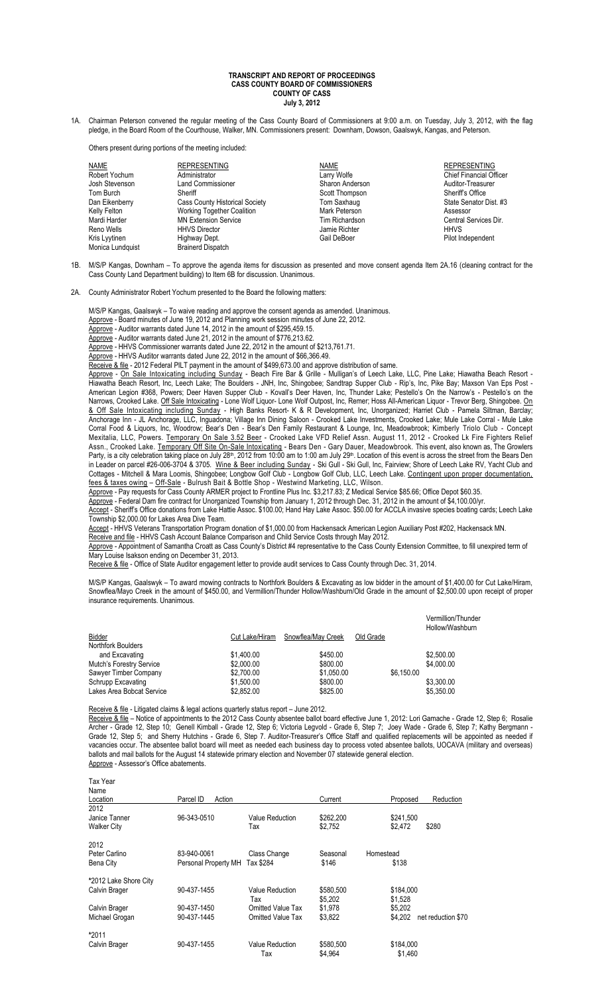## **TRANSCRIPT AND REPORT OF PROCEEDINGS CASS COUNTY BOARD OF COMMISSIONERS COUNTY OF CASS July 3, 2012**

1A. Chairman Peterson convened the regular meeting of the Cass County Board of Commissioners at 9:00 a.m. on Tuesday, July 3, 2012, with the flag pledge, in the Board Room of the Courthouse, Walker, MN. Commissioners present: Downham, Dowson, Gaalswyk, Kangas, and Peterson.

Others present during portions of the meeting included:

| <b>NAME</b>      | <b>REPRESENTING</b>                   | NAME            | <b>REPRESENTING</b>            |
|------------------|---------------------------------------|-----------------|--------------------------------|
| Robert Yochum    | Administrator                         | Larry Wolfe     | <b>Chief Financial Officer</b> |
| Josh Stevenson   | <b>Land Commissioner</b>              | Sharon Anderson | Auditor-Treasurer              |
| Tom Burch        | Sheriff                               | Scott Thompson  | Sheriff's Office               |
| Dan Eikenberry   | <b>Cass County Historical Society</b> | Tom Saxhaug     | State Senator Dist. #3         |
| Kelly Felton     | <b>Working Together Coalition</b>     | Mark Peterson   | Assessor                       |
| Mardi Harder     | <b>MN Extension Service</b>           | Tim Richardson  | Central Services Dir.          |
| Reno Wells       | <b>HHVS Director</b>                  | Jamie Richter   | <b>HHVS</b>                    |
| Kris Lyytinen    | Highway Dept.                         | Gail DeBoer     | Pilot Independent              |
| Monica Lundquist | <b>Brainerd Dispatch</b>              |                 |                                |
|                  |                                       |                 |                                |

1B. M/S/P Kangas, Downham – To approve the agenda items for discussion as presented and move consent agenda Item 2A.16 (cleaning contract for the Cass County Land Department building) to Item 6B for discussion. Unanimous.

2A. County Administrator Robert Yochum presented to the Board the following matters:

M/S/P Kangas, Gaalswyk – To waive reading and approve the consent agenda as amended. Unanimous.

- Approve Board minutes of June 19, 2012 and Planning work session minutes of June 22, 2012.
- Approve Auditor warrants dated June 14, 2012 in the amount of \$295,459.15. Approve - Auditor warrants dated June 21, 2012 in the amount of \$776,213.62.

Approve - HHVS Commissioner warrants dated June 22, 2012 in the amount of \$213,761.71.

Approve - HHVS Auditor warrants dated June 22, 2012 in the amount of \$66,366.49.

Receive & file - 2012 Federal PILT payment in the amount of \$499,673.00 and approve distribution of same.

Approve - On Sale Intoxicating including Sunday - Beach Fire Bar & Grille - Mulligan's of Leech Lake, LLC, Pine Lake; Hiawatha Beach Resort -Hiawatha Beach Resort, Inc, Leech Lake; The Boulders - JNH, Inc, Shingobee; Sandtrap Supper Club - Rip's, Inc, Pike Bay; Maxson Van Eps Post - American Legion #368, Powers; Deer Haven Supper Club - Kovall's Deer Haven, Inc, Thunder Lake; Pestello's On the Narrow's - Pestello's on the Narrows, Crooked Lake. Off Sale Intoxicating - Lone Wolf Liquor- Lone Wolf Outpost, Inc, Remer; Hoss All-American Liquor - Trevor Berg, Shingobee. On & Off Sale Intoxicating including Sunday - High Banks Resort- K & R Development, Inc, Unorganized; Harriet Club - Pamela Siltman, Barclay; Anchorage Inn - JL Anchorage, LLC, Inguadona; Village Inn Dining Saloon - Crooked Lake Investments, Crooked Lake; Mule Lake Corral - Mule Lake Corral Food & Liquors, Inc, Woodrow; Bear's Den - Bear's Den Family Restaurant & Lounge, Inc, Meadowbrook; Kimberly Triolo Club - Concept Mexitalia, LLC, Powers. Temporary On Sale 3.52 Beer - Crooked Lake VFD Relief Assn. August 11, 2012 - Crooked Lk Fire Fighters Relief Assn., Crooked Lake. Temporary Off Site On-Sale Intoxicating - Bears Den - Gary Dauer, Meadowbrook. This event, also known as, The Growlers Party, is a city celebration taking place on July 28<sup>th</sup>, 2012 from 10:00 am to 1:00 am July 29<sup>th</sup>. Location of this event is across the street from the Bears Den in Leader on parcel #26-006-3704 & 3705. Wine & Beer including Sunday - Ski Gull - Ski Gull, Inc, Fairview; Shore of Leech Lake RV, Yacht Club and Cottages - Mitchell & Mara Loomis, Shingobee; Longbow Golf Club - Longbow Golf Club, LLC, Leech Lake. Contingent upon proper documentation, fees & taxes owing – Off-Sale - Bulrush Bait & Bottle Shop - Westwind Marketing, LLC, Wilson.

Approve - Pay requests for Cass County ARMER project to Frontline Plus Inc. \$3,217.83; Z Medical Service \$85.66; Office Depot \$60.35.

Approve - Federal Dam fire contract for Unorganized Township from January 1, 2012 through Dec. 31, 2012 in the amount of \$4,100.00/yr.

Accept - Sheriff's Office donations from Lake Hattie Assoc. \$100.00; Hand Hay Lake Assoc. \$50.00 for ACCLA invasive species boating cards; Leech Lake Township \$2,000.00 for Lakes Area Dive Team.

Accept - HHVS Veterans Transportation Program donation of \$1,000.00 from Hackensack American Legion Auxiliary Post #202, Hackensack MN. Receive and file - HHVS Cash Account Balance Comparison and Child Service Costs through May 2012

Approve - Appointment of Samantha Croatt as Cass County's District #4 representative to the Cass County Extension Committee, to fill unexpired term of Mary Louise Isakson ending on December 31, 2013.

Receive & file - Office of State Auditor engagement letter to provide audit services to Cass County through Dec. 31, 2014.

M/S/P Kangas, Gaalswyk – To award mowing contracts to Northfork Boulders & Excavating as low bidder in the amount of \$1,400.00 for Cut Lake/Hiram, Snowflea/Mayo Creek in the amount of \$450.00, and Vermillion/Thunder Hollow/Washburn/Old Grade in the amount of \$2,500.00 upon receipt of proper insurance requirements. Unanimous.

|                           |                |                    |           |            | Vermillion/Thunder<br>Hollow/Washburn |
|---------------------------|----------------|--------------------|-----------|------------|---------------------------------------|
| Bidder                    | Cut Lake/Hiram | Snowflea/May Creek | Old Grade |            |                                       |
| <b>Northfork Boulders</b> |                |                    |           |            |                                       |
| and Excavating            | \$1,400.00     | \$450.00           |           |            | \$2,500.00                            |
| Mutch's Forestry Service  | \$2,000.00     | \$800.00           |           |            | \$4,000.00                            |
| Sawyer Timber Company     | \$2,700.00     | \$1.050.00         |           | \$6.150.00 |                                       |
| Schrupp Excavating        | \$1.500.00     | \$800.00           |           |            | \$3.300.00                            |
| Lakes Area Bobcat Service | \$2.852.00     | \$825.00           |           |            | \$5.350.00                            |

Receive & file - Litigated claims & legal actions quarterly status report - June 2012. Receive & file – Notice of appointments to the 2012 Cass County absentee ballot board effective June 1, 2012: Lori Gamache - Grade 12, Step 6; Rosalie Archer - Grade 12, Step 10; Genell Kimball - Grade 12, Step 6; Victoria Legvold - Grade 6, Step 7; Joey Wade - Grade 6, Step 7; Kathy Bergmann - Grade 12, Step 5; and Sherry Hutchins - Grade 6, Step 7. Auditor-Treasurer's Office Staff and qualified replacements will be appointed as needed if vacancies occur. The absentee ballot board will meet as needed each business day to process voted absentee ballots, UOCAVA (military and overseas) ballots and mail ballots for the August 14 statewide primary election and November 07 statewide general election. Approve - Assessor's Office abatements.

Tax Year

| Name                  |                      |                          |           |                               |
|-----------------------|----------------------|--------------------------|-----------|-------------------------------|
| Location              | Parcel ID<br>Action  |                          | Current   | Proposed<br>Reduction         |
| 2012                  |                      |                          |           |                               |
| Janice Tanner         | 96-343-0510          | Value Reduction          | \$262,200 | \$241,500                     |
| <b>Walker City</b>    |                      | Tax                      | \$2.752   | \$280<br>\$2.472              |
| 2012                  |                      |                          |           |                               |
| Peter Carlino         | 83-940-0061          | Class Change             | Seasonal  | Homestead                     |
| Bena City             | Personal Property MH | Tax \$284                | \$146     | \$138                         |
| *2012 Lake Shore City |                      |                          |           |                               |
| Calvin Brager         | 90-437-1455          | Value Reduction          | \$580.500 | \$184,000                     |
|                       |                      | Tax                      | \$5.202   | \$1,528                       |
| Calvin Brager         | 90-437-1450          | <b>Omitted Value Tax</b> | \$1.978   | \$5.202                       |
| Michael Grogan        | 90-437-1445          | <b>Omitted Value Tax</b> | \$3,822   | \$4.202<br>net reduction \$70 |
| *2011                 |                      |                          |           |                               |
| Calvin Brager         | 90-437-1455          | Value Reduction          | \$580,500 | \$184,000                     |
|                       |                      | Tax                      | \$4,964   | \$1,460                       |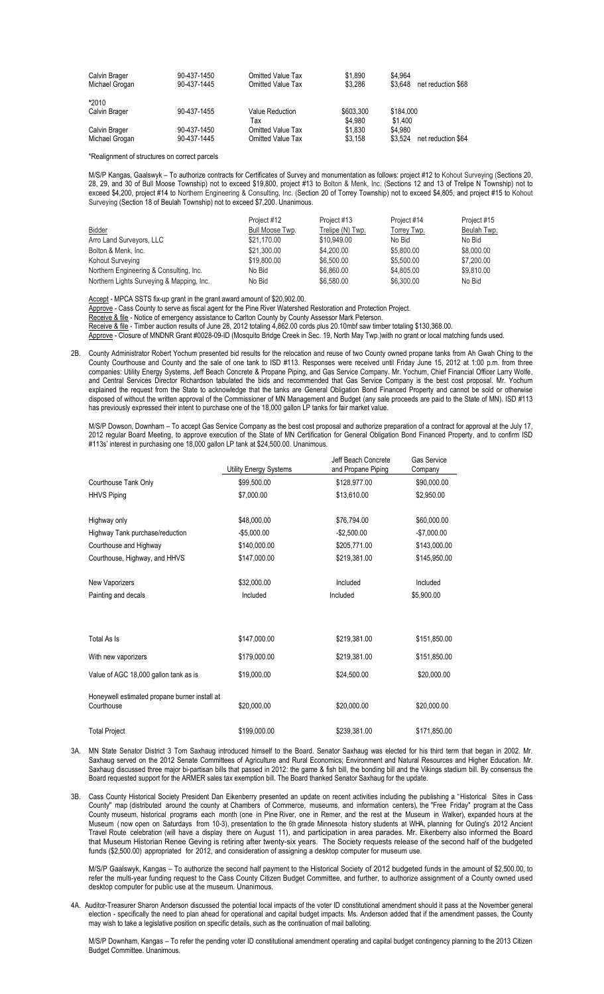| Calvin Brager<br>Michael Grogan | 90-437-1450<br>90-437-1445 | <b>Omitted Value Tax</b><br><b>Omitted Value Tax</b> | \$1.890<br>\$3.286   | \$4.964<br>\$3.648<br>net reduction \$68 |
|---------------------------------|----------------------------|------------------------------------------------------|----------------------|------------------------------------------|
| *2010                           |                            |                                                      |                      |                                          |
| Calvin Brager                   | 90-437-1455                | Value Reduction<br>Тах                               | \$603.300<br>\$4.980 | \$184,000<br>\$1.400                     |
| Calvin Brager<br>Michael Grogan | 90-437-1450<br>90-437-1445 | <b>Omitted Value Tax</b><br><b>Omitted Value Tax</b> | \$1.830<br>\$3.158   | \$4.980<br>net reduction \$64<br>\$3.524 |

\*Realignment of structures on correct parcels

M/S/P Kangas, Gaalswyk – To authorize contracts for Certificates of Survey and monumentation as follows: project #12 to Kohout Surveying (Sections 20, 28, 29, and 30 of Bull Moose Township) not to exceed \$19,800, project #13 to Bolton & Menk, Inc. (Sections 12 and 13 of Trelipe N Township) not to exceed \$4,200, project #14 to Northern Engineering & Consulting, Inc. (Section 20 of Torrey Township) not to exceed \$4,805, and project #15 to Kohout Surveying (Section 18 of Beulah Township) not to exceed \$7,200. Unanimous.

|                                           | Project #12     | Project #13      | Project #14 | Project #15 |
|-------------------------------------------|-----------------|------------------|-------------|-------------|
| <b>Bidder</b>                             | Bull Moose Twp. | Trelipe (N) Twp. | Torrey Twp. | Beulah Twp. |
| Arro Land Surveyors, LLC                  | \$21.170.00     | \$10,949.00      | No Bid      | No Bid      |
| Bolton & Menk, Inc.                       | \$21,300.00     | \$4,200.00       | \$5.800.00  | \$8,000.00  |
| Kohout Surveying                          | \$19,800.00     | \$6,500.00       | \$5.500.00  | \$7,200.00  |
| Northern Engineering & Consulting, Inc.   | No Bid          | \$6,860.00       | \$4.805.00  | \$9.810.00  |
| Northern Lights Surveying & Mapping, Inc. | No Bid          | \$6,580.00       | \$6.300.00  | No Bid      |

Accept - MPCA SSTS fix-up grant in the grant award amount of \$20,902.00.

Approve - Cass County to serve as fiscal agent for the Pine River Watershed Restoration and Protection Project.

Receive & file - Notice of emergency assistance to Carlton County by County Assessor Mark Peterson.

Receive & file - Timber auction results of June 28, 2012 totaling 4,862.00 cords plus 20.10mbf saw timber totaling \$130,368.00. Approve - Closure of MNDNR Grant #0028-09-ID (Mosquito Bridge Creek in Sec. 19, North May Twp.)with no grant or local matching funds used.

2B. County Administrator Robert Yochum presented bid results for the relocation and reuse of two County owned propane tanks from Ah Gwah Ching to the County Courthouse and County and the sale of one tank to ISD #113. Responses were received until Friday June 15, 2012 at 1:00 p.m. from three companies: Utility Energy Systems, Jeff Beach Concrete & Propane Piping, and Gas Service Company. Mr. Yochum, Chief Financial Officer Larry Wolfe, and Central Services Director Richardson tabulated the bids and recommended that Gas Service Company is the best cost proposal. Mr. Yochum explained the request from the State to acknowledge that the tanks are General Obligation Bond Financed Property and cannot be sold or otherwise disposed of without the written approval of the Commissioner of MN Management and Budget (any sale proceeds are paid to the State of MN). ISD #113 has previously expressed their intent to purchase one of the 18,000 gallon LP tanks for fair market value.

M/S/P Dowson, Downham – To accept Gas Service Company as the best cost proposal and authorize preparation of a contract for approval at the July 17, 2012 regular Board Meeting, to approve execution of the State of MN Certification for General Obligation Bond Financed Property, and to confirm ISD #113s' interest in purchasing one 18,000 gallon LP tank at \$24,500.00. Unanimous.

|                                                             | Utility Energy Systems | Jeff Beach Concrete<br>and Propane Piping | Gas Service<br>Company |
|-------------------------------------------------------------|------------------------|-------------------------------------------|------------------------|
| Courthouse Tank Only                                        | \$99,500.00            | \$128,977.00                              | \$90,000.00            |
| <b>HHVS Piping</b>                                          | \$7,000.00             | \$13,610.00                               | \$2,950.00             |
| Highway only                                                | \$48,000.00            | \$76,794.00                               | \$60,000.00            |
| Highway Tank purchase/reduction                             | $-$5,000.00$           | $-$2,500.00$                              | $-$7,000.00$           |
| Courthouse and Highway                                      | \$140,000.00           | \$205,771.00                              | \$143,000.00           |
| Courthouse, Highway, and HHVS                               | \$147,000.00           | \$219,381.00                              | \$145,950.00           |
| New Vaporizers                                              | \$32,000.00            | Included                                  | Included               |
| Painting and decals                                         | Included               | Included                                  | \$5,900.00             |
|                                                             |                        |                                           |                        |
| Total As Is                                                 | \$147.000.00           | \$219,381.00                              | \$151,850.00           |
| With new vaporizers                                         | \$179,000.00           | \$219,381.00                              | \$151,850.00           |
| Value of AGC 18,000 gallon tank as is                       | \$19,000.00            | \$24,500.00                               | \$20,000.00            |
| Honeywell estimated propane burner install at<br>Courthouse | \$20,000.00            | \$20,000.00                               | \$20,000.00            |
| <b>Total Project</b>                                        | \$199,000.00           | \$239,381.00                              | \$171,850.00           |

3A. MN State Senator District 3 Tom Saxhaug introduced himself to the Board. Senator Saxhaug was elected for his third term that began in 2002. Mr. Saxhaug served on the 2012 Senate Committees of Agriculture and Rural Economics; Environment and Natural Resources and Higher Education. Mr. Saxhaug discussed three major bi-partisan bills that passed in 2012: the game & fish bill, the bonding bill and the Vikings stadium bill. By consensus the Board requested support for the ARMER sales tax exemption bill. The Board thanked Senator Saxhaug for the update.

3B. Cass County Historical Society President Dan Eikenberry presented an update on recent activities including the publishing a "Historical Sites in Cass County" map (distributed around the county at Chambers of Commerce, museums, and information centers), the "Free Friday" program at the Cass County museum, historical programs each month (one in Pine River, one in Remer, and the rest at the Museum in Walker), expanded hours at the Museum ( now open on Saturdays from 10-3), presentation to the 6th grade Minnesota history students at WHA, planning for Outing's 2012 Ancient Travel Route celebration (will have a display there on August 11), and participation in area parades. Mr. Eikenberry also informed the Board that Museum Historian Renee Geving is retiring after twenty-six years. The Society requests release of the second half of the budgeted funds (\$2,500.00) appropriated for 2012, and consideration of assigning a desktop computer for museum use.

M/S/P Gaalswyk, Kangas – To authorize the second half payment to the Historical Society of 2012 budgeted funds in the amount of \$2,500.00, to refer the multi-year funding request to the Cass County Citizen Budget Committee, and further, to authorize assignment of a County owned used desktop computer for public use at the museum. Unanimous.

4A. Auditor-Treasurer Sharon Anderson discussed the potential local impacts of the voter ID constitutional amendment should it pass at the November general election - specifically the need to plan ahead for operational and capital budget impacts. Ms. Anderson added that if the amendment passes, the County may wish to take a legislative position on specific details, such as the continuation of mail balloting.

M/S/P Downham, Kangas – To refer the pending voter ID constitutional amendment operating and capital budget contingency planning to the 2013 Citizen Budget Committee. Unanimous.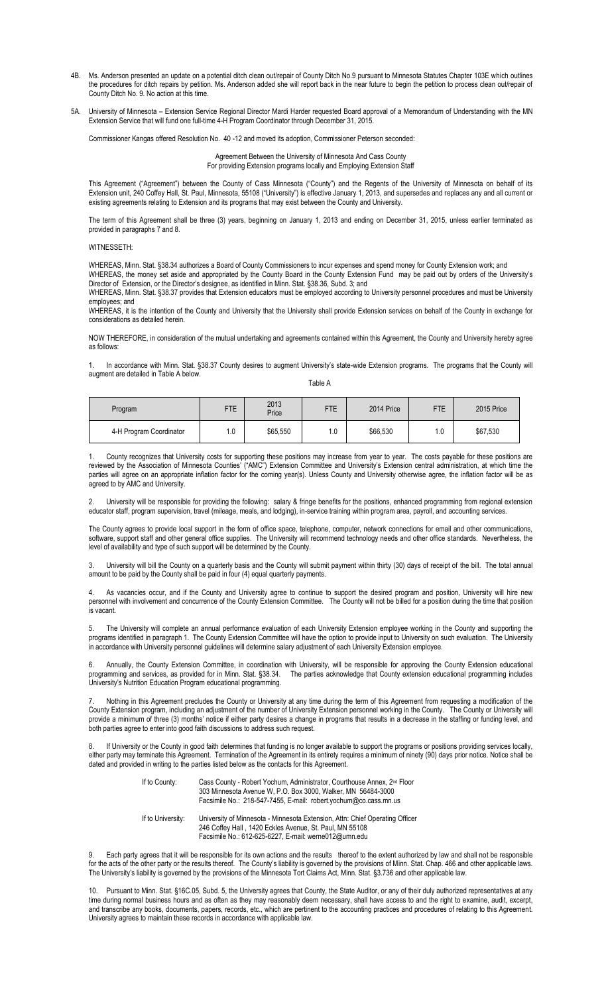- 4B. Ms. Anderson presented an update on a potential ditch clean out/repair of County Ditch No.9 pursuant to Minnesota Statutes Chapter 103E which outlines the procedures for ditch repairs by petition. Ms. Anderson added she will report back in the near future to begin the petition to process clean out/repair of County Ditch No. 9. No action at this time.
- 5A. University of Minnesota Extension Service Regional Director Mardi Harder requested Board approval of a Memorandum of Understanding with the MN Extension Service that will fund one full-time 4-H Program Coordinator through December 31, 2015.

Commissioner Kangas offered Resolution No. 40 -12 and moved its adoption, Commissioner Peterson seconded:

Agreement Between the University of Minnesota And Cass County For providing Extension programs locally and Employing Extension Staff

This Agreement ("Agreement") between the County of Cass Minnesota ("County") and the Regents of the University of Minnesota on behalf of its Extension unit, 240 Coffey Hall, St. Paul, Minnesota, 55108 ("University") is effective January 1, 2013, and supersedes and replaces any and all current or existing agreements relating to Extension and its programs that may exist between the County and University.

The term of this Agreement shall be three (3) years, beginning on January 1, 2013 and ending on December 31, 2015, unless earlier terminated as provided in paragraphs 7 and 8.

WITNESSETH:

WHEREAS, Minn. Stat. §38.34 authorizes a Board of County Commissioners to incur expenses and spend money for County Extension work; and WHEREAS, the money set aside and appropriated by the County Board in the County Extension Fund may be paid out by orders of the University's Director of Extension, or the Director's designee, as identified in Minn. Stat. §38.36, Subd. 3; and

WHEREAS, Minn. Stat. §38.37 provides that Extension educators must be employed according to University personnel procedures and must be University employees; and

WHEREAS, it is the intention of the County and University that the University shall provide Extension services on behalf of the County in exchange for considerations as detailed herein.

NOW THEREFORE, in consideration of the mutual undertaking and agreements contained within this Agreement, the County and University hereby agree as follows:

In accordance with Minn. Stat. §38.37 County desires to augment University's state-wide Extension programs. The programs that the County will augment are detailed in Table A below.

Table A

| Program                 | <b>FTE</b> | 2013<br>Price | FTE | 2014 Price | <b>FTE</b> | 2015 Price |
|-------------------------|------------|---------------|-----|------------|------------|------------|
| 4-H Program Coordinator | ۱.0        | \$65,550      | . 0 | \$66,530   | 1.0        | \$67,530   |

1. County recognizes that University costs for supporting these positions may increase from year to year. The costs payable for these positions are reviewed by the Association of Minnesota Counties' ("AMC") Extension Committee and University's Extension central administration, at which time the parties will agree on an appropriate inflation factor for the coming year(s). Unless County and University otherwise agree, the inflation factor will be as agreed to by AMC and University.

2. University will be responsible for providing the following: salary & fringe benefits for the positions, enhanced programming from regional extension educator staff, program supervision, travel (mileage, meals, and lodging), in-service training within program area, payroll, and accounting services.

The County agrees to provide local support in the form of office space, telephone, computer, network connections for email and other communications, software, support staff and other general office supplies. The University will recommend technology needs and other office standards. Nevertheless, the level of availability and type of such support will be determined by the County.

3. University will bill the County on a quarterly basis and the County will submit payment within thirty (30) days of receipt of the bill. The total annual amount to be paid by the County shall be paid in four (4) equal quarterly payments.

As vacancies occur, and if the County and University agree to continue to support the desired program and position, University will hire new personnel with involvement and concurrence of the County Extension Committee. The County will not be billed for a position during the time that position is vacant.

5. The University will complete an annual performance evaluation of each University Extension employee working in the County and supporting the programs identified in paragraph 1. The County Extension Committee will have the option to provide input to University on such evaluation. The University in accordance with University personnel guidelines will determine salary adjustment of each University Extension employee.

6. Annually, the County Extension Committee, in coordination with University, will be responsible for approving the County Extension educational programming and services, as provided for in Minn. Stat. §38.34. The parties acknowledge that County extension educational programming includes University's Nutrition Education Program educational programming.

7. Nothing in this Agreement precludes the County or University at any time during the term of this Agreement from requesting a modification of the County Extension program, including an adjustment of the number of University Extension personnel working in the County. The County or University will provide a minimum of three (3) months' notice if either party desires a change in programs that results in a decrease in the staffing or funding level, and both parties agree to enter into good faith discussions to address such request.

8. If University or the County in good faith determines that funding is no longer available to support the programs or positions providing services locally, either party may terminate this Agreement. Termination of the Agreement in its entirety requires a minimum of ninety (90) days prior notice. Notice shall be dated and provided in writing to the parties listed below as the contacts for this Agreement.

> If to County: Cass County - Robert Yochum, Administrator, Courthouse Annex, 2<sup>nd</sup> Floor 303 Minnesota Avenue W, P.O. Box 3000, Walker, MN 56484-3000 Facsimile No.: 218-547-7455, E-mail: robert.yochum@co.cass.mn.us

> If to University: University of Minnesota - Minnesota Extension, Attn: Chief Operating Officer 246 Coffey Hall , 1420 Eckles Avenue, St. Paul, MN 55108 Facsimile No.: 612-625-6227, E-mail: werne012@umn.edu

9. Each party agrees that it will be responsible for its own actions and the results thereof to the extent authorized by law and shall not be responsible for the acts of the other party or the results thereof. The County's liability is governed by the provisions of Minn. Stat. Chap. 466 and other applicable laws. The University's liability is governed by the provisions of the Minnesota Tort Claims Act, Minn. Stat. §3.736 and other applicable law.

10. Pursuant to Minn. Stat. §16C.05, Subd. 5, the University agrees that County, the State Auditor, or any of their duly authorized representatives at any time during normal business hours and as often as they may reasonably deem necessary, shall have access to and the right to examine, audit, excerpt, and transcribe any books, documents, papers, records, etc., which are pertinent to the accounting practices and procedures of relating to this Agreement. University agrees to maintain these records in accordance with applicable law.